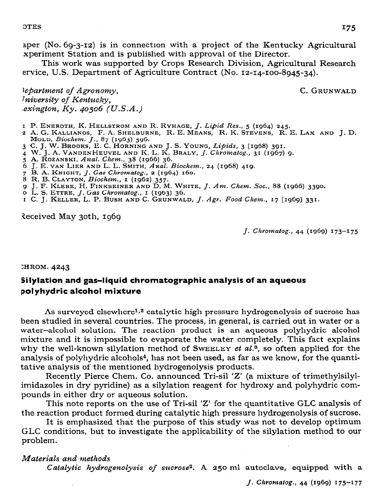aper (No. 69-3-12) is in connection with a project of the Kentucky Agricultural xperiment Station and is published with approval of the Director.

This work was supported by Crops Research Division, Agricultural Research ervice, U.S. Department of Agriculture Contract (No. 12-14-100-8945-34).

C. GRUNWALD

lepartment of Agronomy, Iniversity of Kentucky, exington,  $Ky.$  40506 (U.S.A.)

- I P. ENEROTH, K. HELLSTROM AND R. RYHAGE, J. Lipid Res., 5 (1964) 245.
- 2 A. G. KALLIANOS, F. A. SHELBURNE, R. E. MEANS, R. K. STEVENS, R. E. LAX AND J. D. MOLD, Biochem. J., 87 (1963) 596.
- 3 C. J. W. BROOKS, E. C. HORNING AND J. S. YOUNG, Lipids, 3 (1968) 391.
- 4 W. J. A. VANDEN HEUVEL AND K. L. K. BRALY, J. Chromatog., 31 (1967) 9.
- 5 A. ROZANSKI, Anal. Chem., 38 (1966) 36.
- 6 J. E. VAN LIER AND L. L. SMITH, Anal. Biochem., 24 (1968) 419.
- 7 B. A. KNIGHT, J. Gas Chromatog., 2 (1964) 160.<br>8 R. B. CLAYTON, Biochem., 1 (1962) 357.
- 
- 9 J. F. KLEBE, H. FINKBEINER AND D. M. WHITE, J. Am. Chem. Soc., 88 (1966) 3390.
- o L. S. ETTRE,  $J.$  Gas Chromatog.,  $I$  (1963) 36.
- I C. J. KELLER, L. P. BUSH AND C. GRUNWALD, J. Agr. Food Chem., 17 (1969) 331.

Received May 30th, 1969

J. Chromatog., 44 (1969) 173-175

### **HROM. 4243**

# Silylation and gas-liquid chromatographic analysis of an aqueous polyhydric alcohol mixture

As surveyed elsewhere<sup>1,2</sup> catalytic high pressure hydrogenolysis of sucrose has been studied in several countries. The process, in general, is carried out in water or a water-alcohol solution. The reaction product is an aqueous polyhydric alcohol mixture and it is impossible to evaporate the water completely. This fact explains why the well-known silylation method of SWEELEY et al.<sup>3</sup>, so often applied for the analysis of polyhydric alcohols<sup>4</sup>, has not been used, as far as we know, for the quantitative analysis of the mentioned hydrogenolysis products.

Recently Pierce Chem. Co. announced Tri-sil 'Z' (a mixture of trimethylsilylimidazoles in dry pyridine) as a silylation reagent for hydroxy and polyhydric compounds in either dry or aqueous solution.

This note reports on the use of Tri-sil 'Z' for the quantitative GLC analysis of the reaction product formed during catalytic high pressure hydrogenolysis of sucrose.

It is emphasized that the purpose of this study was not to develop optimum GLC conditions, but to investigate the applicability of the silylation method to our problem.

## Materials and methods

Catalytic hydrogenolysis of sucrose<sup>2</sup>. A 250 ml autoclave, equipped with a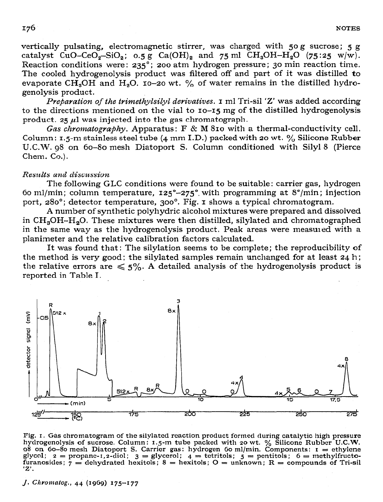vertically pulsating, electromagnetic stirrer, was charged with 50 g sucrose; 5 g catalyst  $CuO-CeO<sub>2</sub>-SiO<sub>2</sub>$ ;  $0.5 g$   $Ca(OH)<sub>2</sub>$  and  $75 ml$   $CH<sub>3</sub>OH-H<sub>2</sub>O$   $(75:25 w/w)$ . Reaction conditions were: 235°; 200 atm hydrogen pressure; 30 min reaction time. The cooled hydrogenolysis product was filtered off and part of it was distilled **to**  evaporate CH<sub>3</sub>OH and H<sub>2</sub>O. 10-20 wt.  $\%$  of water remains in the distilled hydrogenolysis product.

*Preparation of the trimethylsilyl derivatives.* **I** ml Tri-sil 'Z' was added according to the directions mentioned on the vial to 10-15 mg of the distilled hydrogenolysis product. 25  $\mu$ l was injected into the gas chromatograph.

*Gas chromatography.* Apparatus: F & M 810 with a thermal-conductivity cell. Column: 1,5-m stainless steel tube (4 mm I.D.) packed with 20 wt.  $\%$  Silicone Rubber U.C.W. g8 on 60-80 mesh Diatoport S. Column conditioned with Silyl 8 (Pierce Chem. Co.).

## *Resw?ts amE discz~ssion*

*The* following GLC conditions were found to be suitable: carrier gas, hydrogen 60 ml/min; column temperature,  $125^{\circ}$ -275° with programming at  $8^{\circ}$ /min; injection port, 280'; detector temperature, 300~. Fig. 1 shows a typical chromatogram.

A number of synthetic polyhydric alcohol mixtures were prepared and dissolved in CH,OH-H,O. These mixtures were then distilled, silylated and chromatographed in the same way as the hydrogenolysis product. Peak areas were measured with a planimeter and the relative calibration factors calculated.

It was found that: The silylation seems to be complete; the reproducibility of the method is very good; the silylated samples remain unchanged for at least  $24$  h; the relative errors are  $\leq 5\%$ . A detailed analysis of the hydrogenolysis product is reported in Table I.



**Fig. I. Gas chromatogram of the silylated reaction product formed during catalytic high pressure**  hydrogenolysis of sucrose. Column: 1.5-m tube packed with 20 wt. % Silicone Rubber U.C.W. **98 on Go-80 mesh Diatoport S. Carrier gas: hydrogen Go ml/min. Components: I = ethylene**   $glycol;$   $z = propane-1, z-diol;$   $\overline{3} = glycerol;$   $\overline{4} = tetritols;$   $\overline{5} = pentitols;$   $\overline{6} = methylfructod;$ **furanosides** ; **7 = dehydrated hesitols;** 8 = **hexitols; 0 = unknown; R = compounds of Tri-ail 'Z'.** 

**J. ChY0lll&Og., 44 (1969) 175-177**